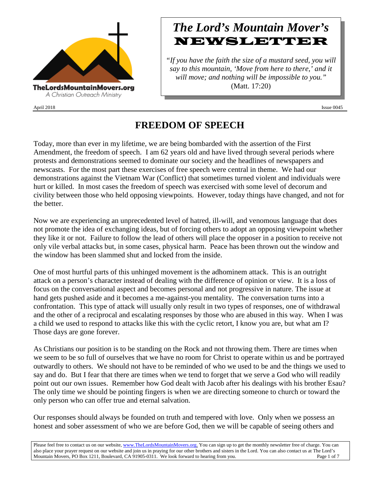

April 2018 Issue 0045

# *The Lord's Mountain Mover's* **NEWSLETTER**

*"If you have the faith the size of a mustard seed, you will say to this mountain, 'Move from here to there,' and it will move; and nothing will be impossible to you."* (Matt. 17:20)

## **FREEDOM OF SPEECH**

Today, more than ever in my lifetime, we are being bombarded with the assertion of the First Amendment, the freedom of speech. I am 62 years old and have lived through several periods where protests and demonstrations seemed to dominate our society and the headlines of newspapers and newscasts. For the most part these exercises of free speech were central in theme. We had our demonstrations against the Vietnam War (Conflict) that sometimes turned violent and individuals were hurt or killed. In most cases the freedom of speech was exercised with some level of decorum and civility between those who held opposing viewpoints. However, today things have changed, and not for the better.

Now we are experiencing an unprecedented level of hatred, ill-will, and venomous language that does not promote the idea of exchanging ideas, but of forcing others to adopt an opposing viewpoint whether they like it or not. Failure to follow the lead of others will place the opposer in a position to receive not only vile verbal attacks but, in some cases, physical harm. Peace has been thrown out the window and the window has been slammed shut and locked from the inside.

One of most hurtful parts of this unhinged movement is the adhominem attack. This is an outright attack on a person's character instead of dealing with the difference of opinion or view. It is a loss of focus on the conversational aspect and becomes personal and not progressive in nature. The issue at hand gets pushed aside and it becomes a me-against-you mentality. The conversation turns into a confrontation. This type of attack will usually only result in two types of responses, one of withdrawal and the other of a reciprocal and escalating responses by those who are abused in this way. When I was a child we used to respond to attacks like this with the cyclic retort, I know you are, but what am I? Those days are gone forever.

As Christians our position is to be standing on the Rock and not throwing them. There are times when we seem to be so full of ourselves that we have no room for Christ to operate within us and be portrayed outwardly to others. We should not have to be reminded of who we used to be and the things we used to say and do. But I fear that there are times when we tend to forget that we serve a God who will readily point out our own issues. Remember how God dealt with Jacob after his dealings with his brother Esau? The only time we should be pointing fingers is when we are directing someone to church or toward the only person who can offer true and eternal salvation.

Our responses should always be founded on truth and tempered with love. Only when we possess an honest and sober assessment of who we are before God, then we will be capable of seeing others and

Please feel free to contact us on our website, ww[w.TheLordsMountainMovers.o](http://www.thelordsmountainmovers.org/)rg. You can sign up to get the monthly newsletter free of charge. You can also place your prayer request on our website and join us in praying for our other brothers and sisters in the Lord. You can also contact us at The Lord's Mountain Movers, PO Box 1211, Boulevard, CA 91905-0311. We look forward to hearing from you. Page 1 of 7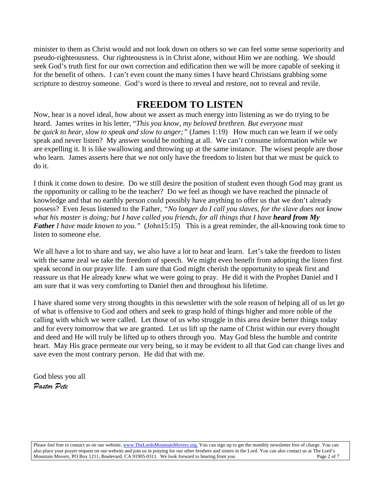minister to them as Christ would and not look down on others so we can feel some sense superiority and pseudo-righteousness. Our righteousness is in Christ alone, without Him we are nothing. We should seek God's truth first for our own correction and edification then we will be more capable of seeking it for the benefit of others. I can't even count the many times I have heard Christians grabbing some scripture to destroy someone. God's word is there to reveal and restore, not to reveal and revile.

### **FREEDOM TO LISTEN**

Now, hear is a novel ideal, how about we assert as much energy into listening as we do trying to be heard. James writes in his letter, "*This you know, my beloved brethren. But everyone must be quick to hear, slow to speak and slow to anger;"* (James 1:19) How much can we learn if we only speak and never listen? My answer would be nothing at all. We can't consume information while we are expelling it. It is like swallowing and throwing up at the same instance. The wisest people are those who learn. James asserts here that we not only have the freedom to listen but that we must be quick to do it.

I think it come down to desire. Do we still desire the position of student even though God may grant us the opportunity or calling to be the teacher? Do we feel as though we have reached the pinnacle of knowledge and that no earthly person could possibly have anything to offer us that we don't already possess? Even Jesus listened to the Father, *"No longer do I call you slaves, for the slave does not know what his master is doing; but I have called you friends, for all things that I have heard from My Father I have made known to you.*" (John15:15) This is a great reminder, the all-knowing took time to listen to someone else.

We all have a lot to share and say, we also have a lot to hear and learn. Let's take the freedom to listen with the same zeal we take the freedom of speech. We might even benefit from adopting the listen first speak second in our prayer life. I am sure that God might cherish the opportunity to speak first and reassure us that He already knew what we were going to pray. He did it with the Prophet Daniel and I am sure that it was very comforting to Daniel then and throughout his lifetime.

I have shared some very strong thoughts in this newsletter with the sole reason of helping all of us let go of what is offensive to God and others and seek to grasp hold of things higher and more noble of the calling with which we were called. Let those of us who struggle in this area desire better things today and for every tomorrow that we are granted. Let us lift up the name of Christ within our every thought and deed and He will truly be lifted up to others through you. May God bless the humble and contrite heart. May His grace permeate our very being, so it may be evident to all that God can change lives and save even the most contrary person. He did that with me.

God bless you all *Pastor Pete*

Please feel free to contact us on our website, ww[w.TheLordsMountainMovers.o](http://www.thelordsmountainmovers.org/)rg. You can sign up to get the monthly newsletter free of charge. You can also place your prayer request on our website and join us in praying for our other brothers and sisters in the Lord. You can also contact us at The Lord's Mountain Movers, PO Box 1211, Boulevard, CA 91905-0311. We look forward to hearing from you. Page 2 of 7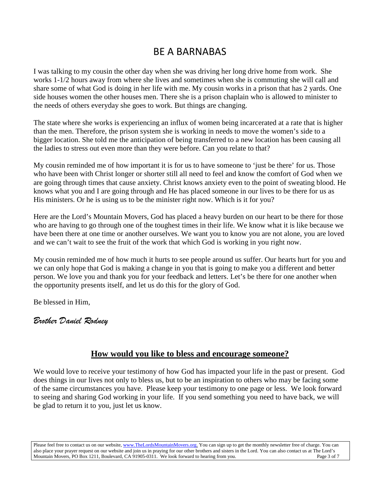## BE A BARNABAS

I was talking to my cousin the other day when she was driving her long drive home from work. She works 1-1/2 hours away from where she lives and sometimes when she is commuting she will call and share some of what God is doing in her life with me. My cousin works in a prison that has 2 yards. One side houses women the other houses men. There she is a prison chaplain who is allowed to minister to the needs of others everyday she goes to work. But things are changing.

The state where she works is experiencing an influx of women being incarcerated at a rate that is higher than the men. Therefore, the prison system she is working in needs to move the women's side to a bigger location. She told me the anticipation of being transferred to a new location has been causing all the ladies to stress out even more than they were before. Can you relate to that?

My cousin reminded me of how important it is for us to have someone to 'just be there' for us. Those who have been with Christ longer or shorter still all need to feel and know the comfort of God when we are going through times that cause anxiety. Christ knows anxiety even to the point of sweating blood. He knows what you and I are going through and He has placed someone in our lives to be there for us as His ministers. Or he is using us to be the minister right now. Which is it for you?

Here are the Lord's Mountain Movers, God has placed a heavy burden on our heart to be there for those who are having to go through one of the toughest times in their life. We know what it is like because we have been there at one time or another ourselves. We want you to know you are not alone, you are loved and we can't wait to see the fruit of the work that which God is working in you right now.

My cousin reminded me of how much it hurts to see people around us suffer. Our hearts hurt for you and we can only hope that God is making a change in you that is going to make you a different and better person. We love you and thank you for your feedback and letters. Let's be there for one another when the opportunity presents itself, and let us do this for the glory of God.

Be blessed in Him,

### *Brother Daniel Rodney*

### **How would you like to bless and encourage someone?**

We would love to receive your testimony of how God has impacted your life in the past or present. God does things in our lives not only to bless us, but to be an inspiration to others who may be facing some of the same circumstances you have. Please keep your testimony to one page or less. We look forward to seeing and sharing God working in your life. If you send something you need to have back, we will be glad to return it to you, just let us know.

Please feel free to contact us on our website, ww[w.TheLordsMountainMovers.o](http://www.thelordsmountainmovers.org/)rg. You can sign up to get the monthly newsletter free of charge. You can also place your prayer request on our website and join us in praying for our other brothers and sisters in the Lord. You can also contact us at The Lord's Mountain Movers, PO Box 1211, Boulevard, CA 91905-0311. We look forward to hearing from you. Page 3 of 7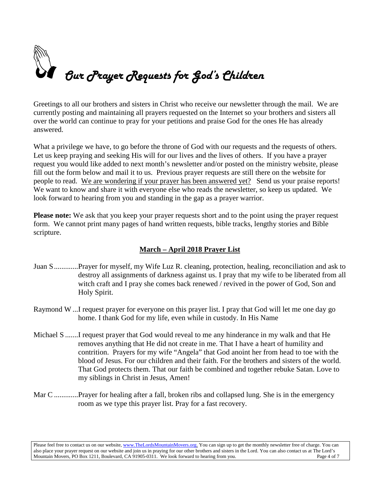

Greetings to all our brothers and sisters in Christ who receive our newsletter through the mail. We are currently posting and maintaining all prayers requested on the Internet so your brothers and sisters all over the world can continue to pray for your petitions and praise God for the ones He has already answered.

What a privilege we have, to go before the throne of God with our requests and the requests of others. Let us keep praying and seeking His will for our lives and the lives of others. If you have a prayer request you would like added to next month's newsletter and/or posted on the ministry website, please fill out the form below and mail it to us. Previous prayer requests are still there on the website for people to read. We are wondering if your prayer has been answered yet? Send us your praise reports! We want to know and share it with everyone else who reads the newsletter, so keep us updated. We look forward to hearing from you and standing in the gap as a prayer warrior.

**Please note:** We ask that you keep your prayer requests short and to the point using the prayer request form. We cannot print many pages of hand written requests, bible tracks, lengthy stories and Bible scripture.

### **March – April 2018 Prayer List**

- Juan S.............Prayer for myself, my Wife Luz R. cleaning, protection, healing, reconciliation and ask to destroy all assignments of darkness against us. I pray that my wife to be liberated from all witch craft and I pray she comes back renewed / revived in the power of God, Son and Holy Spirit.
- Raymond W ...I request prayer for everyone on this prayer list. I pray that God will let me one day go home. I thank God for my life, even while in custody. In His Name
- Michael S .......I request prayer that God would reveal to me any hinderance in my walk and that He removes anything that He did not create in me. That I have a heart of humility and contrition. Prayers for my wife "Angela" that God anoint her from head to toe with the blood of Jesus. For our children and their faith. For the brothers and sisters of the world. That God protects them. That our faith be combined and together rebuke Satan. Love to my siblings in Christ in Jesus, Amen!
- Mar C ..............Prayer for healing after a fall, broken ribs and collapsed lung. She is in the emergency room as we type this prayer list. Pray for a fast recovery.

Please feel free to contact us on our website, ww[w.TheLordsMountainMovers.o](http://www.thelordsmountainmovers.org/)rg. You can sign up to get the monthly newsletter free of charge. You can also place your prayer request on our website and join us in praying for our other brothers and sisters in the Lord. You can also contact us at The Lord's Mountain Movers, PO Box 1211, Boulevard, CA 91905-0311. We look forward to hearing from you.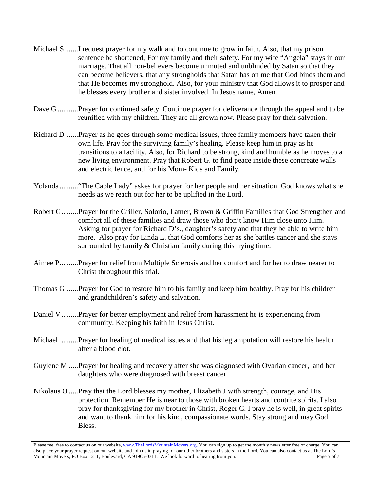- Michael S .......I request prayer for my walk and to continue to grow in faith. Also, that my prison sentence be shortened, For my family and their safety. For my wife "Angela" stays in our marriage. That all non-believers become unmuted and unblinded by Satan so that they can become believers, that any strongholds that Satan has on me that God binds them and that He becomes my stronghold. Also, for your ministry that God allows it to prosper and he blesses every brother and sister involved. In Jesus name, Amen.
- Dave G ...........Prayer for continued safety. Continue prayer for deliverance through the appeal and to be reunified with my children. They are all grown now. Please pray for their salvation.
- Richard D.......Prayer as he goes through some medical issues, three family members have taken their own life. Pray for the surviving family's healing. Please keep him in pray as he transitions to a facility. Also, for Richard to be strong, kind and humble as he moves to a new living environment. Pray that Robert G. to find peace inside these concreate walls and electric fence, and for his Mom- Kids and Family.
- Yolanda .........."The Cable Lady" askes for prayer for her people and her situation. God knows what she needs as we reach out for her to be uplifted in the Lord.
- Robert G.........Prayer for the Griller, Solorio, Latner, Brown & Griffin Families that God Strengthen and comfort all of these families and draw those who don't know Him close unto Him. Asking for prayer for Richard D's., daughter's safety and that they be able to write him more. Also pray for Linda L. that God comforts her as she battles cancer and she stays surrounded by family & Christian family during this trying time.
- Aimee P..........Prayer for relief from Multiple Sclerosis and her comfort and for her to draw nearer to Christ throughout this trial.
- Thomas G.......Prayer for God to restore him to his family and keep him healthy. Pray for his children and grandchildren's safety and salvation.
- Daniel V.........Prayer for better employment and relief from harassment he is experiencing from community. Keeping his faith in Jesus Christ.
- Michael .........Prayer for healing of medical issues and that his leg amputation will restore his health after a blood clot.
- Guylene M .....Prayer for healing and recovery after she was diagnosed with Ovarian cancer, and her daughters who were diagnosed with breast cancer.
- Nikolaus O .....Pray that the Lord blesses my mother, Elizabeth J with strength, courage, and His protection. Remember He is near to those with broken hearts and contrite spirits. I also pray for thanksgiving for my brother in Christ, Roger C. I pray he is well, in great spirits and want to thank him for his kind, compassionate words. Stay strong and may God Bless.

Please feel free to contact us on our website, ww[w.TheLordsMountainMovers.o](http://www.thelordsmountainmovers.org/)rg. You can sign up to get the monthly newsletter free of charge. You can also place your prayer request on our website and join us in praying for our other brothers and sisters in the Lord. You can also contact us at The Lord's Mountain Movers, PO Box 1211, Boulevard, CA 91905-0311. We look forward to hearing from you.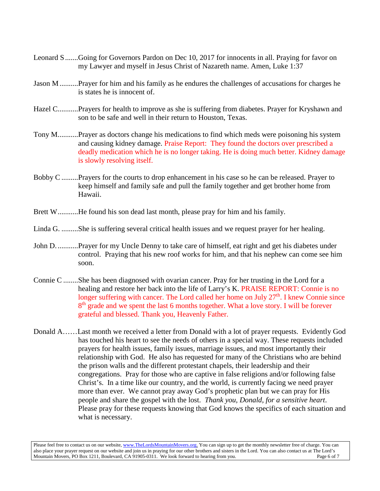- Leonard S.......Going for Governors Pardon on Dec 10, 2017 for innocents in all. Praying for favor on my Lawyer and myself in Jesus Christ of Nazareth name. Amen, Luke 1:37
- Jason M..........Prayer for him and his family as he endures the challenges of accusations for charges he is states he is innocent of.
- Hazel C...........Prayers for health to improve as she is suffering from diabetes. Prayer for Kryshawn and son to be safe and well in their return to Houston, Texas.
- Tony M...........Prayer as doctors change his medications to find which meds were poisoning his system and causing kidney damage. Praise Report: They found the doctors over prescribed a deadly medication which he is no longer taking. He is doing much better. Kidney damage is slowly resolving itself.
- Bobby C .........Prayers for the courts to drop enhancement in his case so he can be released. Prayer to keep himself and family safe and pull the family together and get brother home from Hawaii.
- Brett W...........He found his son dead last month, please pray for him and his family.
- Linda G. .........She is suffering several critical health issues and we request prayer for her healing.
- John D. ...........Prayer for my Uncle Denny to take care of himself, eat right and get his diabetes under control. Praying that his new roof works for him, and that his nephew can come see him soon.
- Connie C ........She has been diagnosed with ovarian cancer. Pray for her trusting in the Lord for a healing and restore her back into the life of Larry's K. PRAISE REPORT: Connie is no longer suffering with cancer. The Lord called her home on July  $27<sup>th</sup>$ . I knew Connie since  $8<sup>th</sup>$  grade and we spent the last 6 months together. What a love story. I will be forever grateful and blessed. Thank you, Heavenly Father.
- Donald A……Last month we received a letter from Donald with a lot of prayer requests. Evidently God has touched his heart to see the needs of others in a special way. These requests included prayers for health issues, family issues, marriage issues, and most importantly their relationship with God. He also has requested for many of the Christians who are behind the prison walls and the different protestant chapels, their leadership and their congregations. Pray for those who are captive in false religions and/or following false Christ's. In a time like our country, and the world, is currently facing we need prayer more than ever. We cannot pray away God's prophetic plan but we can pray for His people and share the gospel with the lost. *Thank you, Donald, for a sensitive heart*. Please pray for these requests knowing that God knows the specifics of each situation and what is necessary.

Please feel free to contact us on our website, ww[w.TheLordsMountainMovers.o](http://www.thelordsmountainmovers.org/)rg. You can sign up to get the monthly newsletter free of charge. You can also place your prayer request on our website and join us in praying for our other brothers and sisters in the Lord. You can also contact us at The Lord's Mountain Movers, PO Box 1211, Boulevard, CA 91905-0311. We look forward to hearing from you.